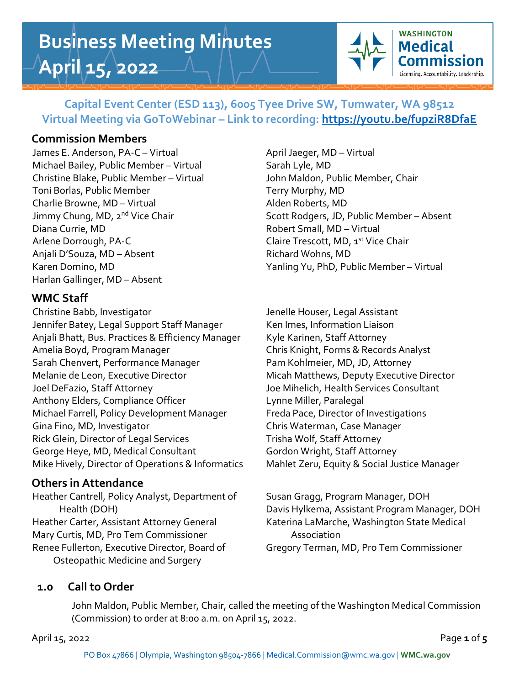# **Business Meeting Minutes April 15, 2022**



# **Capital Event Center (ESD 113), 6005 Tyee Drive SW, Tumwater, WA 98512 Virtual Meeting via GoToWebinar – Link to recording:<https://youtu.be/fupziR8DfaE>**

# **Commission Members**

James E. Anderson, PA-C – Virtual April Jaeger, MD – Virtual Michael Bailey, Public Member – Virtual Sarah Lyle, MD Christine Blake, Public Member – Virtual John Maldon, Public Member, Chair Toni Borlas, Public Member Terry Murphy, MD Charlie Browne, MD – Virtual Alden Roberts, MD Diana Currie, MD **Robert Small, MD** – Virtual Arlene Dorrough, PA-C and the Claire Trescott, MD, 1st Vice Chair Anjali D'Souza, MD – Absent Richard Wohns, MD Harlan Gallinger, MD – Absent

# **WMC Staff**

Christine Babb, Investigator **Jenelle Houser, Legal Assistant** Jennifer Batey, Legal Support Staff Manager Ken Imes, Information Liaison Anjali Bhatt, Bus. Practices & Efficiency Manager Kyle Karinen, Staff Attorney Amelia Boyd, Program Manager Chris Knight, Forms & Records Analyst Sarah Chenvert, Performance Manager Pam Kohlmeier, MD, JD, Attorney Melanie de Leon, Executive Director Micah Matthews, Deputy Executive Director Joel DeFazio, Staff Attorney Joe Mihelich, Health Services Consultant Anthony Elders, Compliance Officer **Lynne Miller**, Paralegal Michael Farrell, Policy Development Manager Freda Pace, Director of Investigations Gina Fino, MD, Investigator **Chris Waterman, Case Manager** Chris Waterman, Case Manager Rick Glein, Director of Legal Services Trisha Wolf, Staff Attorney George Heye, MD, Medical Consultant Gordon Wright, Staff Attorney Mike Hively, Director of Operations & Informatics Mahlet Zeru, Equity & Social Justice Manager

# **Others in Attendance**

Heather Cantrell, Policy Analyst, Department of Susan Gragg, Program Manager, DOH Heather Carter, Assistant Attorney General Katerina LaMarche, Washington State Medical Mary Curtis, MD, Pro Tem Commissioner **Association** Renee Fullerton, Executive Director, Board of Gregory Terman, MD, Pro Tem Commissioner Osteopathic Medicine and Surgery

Jimmy Chung, MD, 2<sup>nd</sup> Vice Chair Scott Rodgers, JD, Public Member – Absent Karen Domino, MD Yanling Yu, PhD, Public Member – Virtual

Health (DOH) Davis Hylkema, Assistant Program Manager, DOH

# **1.0 Call to Order**

John Maldon, Public Member, Chair, called the meeting of the Washington Medical Commission (Commission) to order at 8:00 a.m. on April 15, 2022.

April 15, 2022 **Page 1** of 5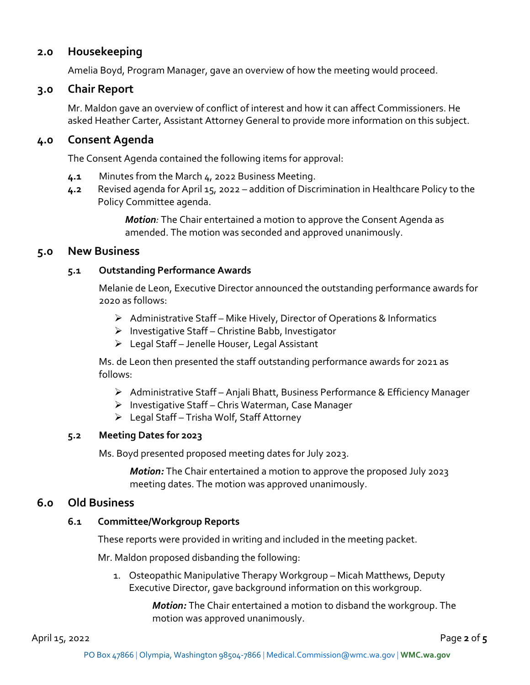# **2.0 Housekeeping**

Amelia Boyd, Program Manager, gave an overview of how the meeting would proceed.

# **3.0 Chair Report**

Mr. Maldon gave an overview of conflict of interest and how it can affect Commissioners. He asked Heather Carter, Assistant Attorney General to provide more information on this subject.

## **4.0 Consent Agenda**

The Consent Agenda contained the following items for approval:

- **4.1** Minutes from the March 4, 2022 Business Meeting.
- **4.2** Revised agenda for April 15, 2022 addition of Discrimination in Healthcare Policy to the Policy Committee agenda.

*Motion:* The Chair entertained a motion to approve the Consent Agenda as amended. The motion was seconded and approved unanimously.

## **5.0 New Business**

#### **5.1 Outstanding Performance Awards**

Melanie de Leon, Executive Director announced the outstanding performance awards for 2020 as follows:

- ➢ Administrative Staff Mike Hively, Director of Operations & Informatics
- ➢ Investigative Staff Christine Babb, Investigator
- ➢ Legal Staff Jenelle Houser, Legal Assistant

Ms. de Leon then presented the staff outstanding performance awards for 2021 as follows:

- ➢ Administrative Staff Anjali Bhatt, Business Performance & Efficiency Manager
- ➢ Investigative Staff Chris Waterman, Case Manager
- ➢ Legal Staff Trisha Wolf, Staff Attorney

## **5.2 Meeting Dates for 2023**

Ms. Boyd presented proposed meeting dates for July 2023.

*Motion:* The Chair entertained a motion to approve the proposed July 2023 meeting dates. The motion was approved unanimously.

## **6.0 Old Business**

#### **6.1 Committee/Workgroup Reports**

These reports were provided in writing and included in the meeting packet.

Mr. Maldon proposed disbanding the following:

1. Osteopathic Manipulative Therapy Workgroup – Micah Matthews, Deputy Executive Director, gave background information on this workgroup.

> *Motion:* The Chair entertained a motion to disband the workgroup. The motion was approved unanimously.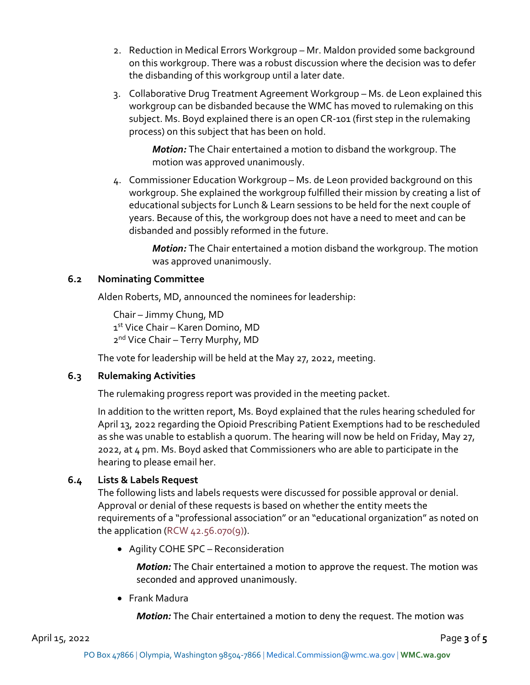- 2. Reduction in Medical Errors Workgroup Mr. Maldon provided some background on this workgroup. There was a robust discussion where the decision was to defer the disbanding of this workgroup until a later date.
- 3. Collaborative Drug Treatment Agreement Workgroup Ms. de Leon explained this workgroup can be disbanded because the WMC has moved to rulemaking on this subject. Ms. Boyd explained there is an open CR-101 (first step in the rulemaking process) on this subject that has been on hold.

*Motion:* The Chair entertained a motion to disband the workgroup. The motion was approved unanimously.

4. Commissioner Education Workgroup – Ms. de Leon provided background on this workgroup. She explained the workgroup fulfilled their mission by creating a list of educational subjects for Lunch & Learn sessions to be held for the next couple of years. Because of this, the workgroup does not have a need to meet and can be disbanded and possibly reformed in the future.

> *Motion:* The Chair entertained a motion disband the workgroup. The motion was approved unanimously.

#### **6.2 Nominating Committee**

Alden Roberts, MD, announced the nominees for leadership:

Chair – Jimmy Chung, MD 1st Vice Chair – Karen Domino, MD 2<sup>nd</sup> Vice Chair - Terry Murphy, MD

The vote for leadership will be held at the May 27, 2022, meeting.

#### **6.3 Rulemaking Activities**

The rulemaking progress report was provided in the meeting packet.

In addition to the written report, Ms. Boyd explained that the rules hearing scheduled for April 13, 2022 regarding the Opioid Prescribing Patient Exemptions had to be rescheduled as she was unable to establish a quorum. The hearing will now be held on Friday, May 27, 2022, at 4 pm. Ms. Boyd asked that Commissioners who are able to participate in the hearing to please email her.

## **6.4 Lists & Labels Request**

The following lists and labels requests were discussed for possible approval or denial. Approval or denial of these requests is based on whether the entity meets the requirements of a "professional association" or an "educational organization" as noted on the application (RCW  $42.56.070(9)$ ).

• Agility COHE SPC – Reconsideration

*Motion:* The Chair entertained a motion to approve the request. The motion was seconded and approved unanimously.

• Frank Madura

*Motion:* The Chair entertained a motion to deny the request. The motion was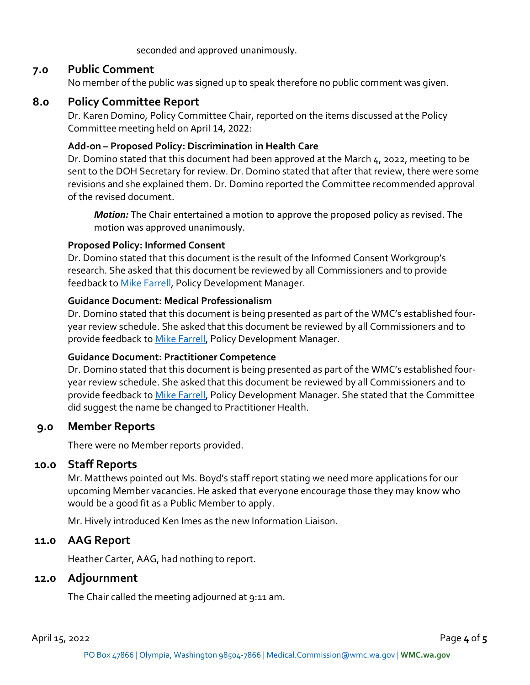seconded and approved unanimously.

## **7.0 Public Comment**

No member of the public was signed up to speak therefore no public comment was given.

# **8.0 Policy Committee Report**

Dr. Karen Domino, Policy Committee Chair, reported on the items discussed at the Policy Committee meeting held on April 14, 2022:

#### **Add-on – Proposed Policy: Discrimination in Health Care**

Dr. Domino stated that this document had been approved at the March 4, 2022, meeting to be sent to the DOH Secretary for review. Dr. Domino stated that after that review, there were some revisions and she explained them. Dr. Domino reported the Committee recommended approval of the revised document.

*Motion:* The Chair entertained a motion to approve the proposed policy as revised. The motion was approved unanimously.

#### **Proposed Policy: Informed Consent**

Dr. Domino stated that this document is the result of the Informed Consent Workgroup's research. She asked that this document be reviewed by all Commissioners and to provide feedback to [Mike Farrell,](mailto:michael.farrell@wmc.wa.gov) Policy Development Manager.

#### **Guidance Document: Medical Professionalism**

Dr. Domino stated that this document is being presented as part of the WMC's established fouryear review schedule. She asked that this document be reviewed by all Commissioners and to provide feedback to [Mike Farrell,](mailto:michael.farrell@wmc.wa.gov) Policy Development Manager.

#### **Guidance Document: Practitioner Competence**

Dr. Domino stated that this document is being presented as part of the WMC's established fouryear review schedule. She asked that this document be reviewed by all Commissioners and to provide feedback to [Mike Farrell,](mailto:michael.farrell@wmc.wa.gov) Policy Development Manager. She stated that the Committee did suggest the name be changed to Practitioner Health.

## **9.0 Member Reports**

There were no Member reports provided.

#### **10.0 Staff Reports**

Mr. Matthews pointed out Ms. Boyd's staff report stating we need more applications for our upcoming Member vacancies. He asked that everyone encourage those they may know who would be a good fit as a Public Member to apply.

Mr. Hively introduced Ken Imes as the new Information Liaison.

## **11.0 AAG Report**

Heather Carter, AAG, had nothing to report.

#### **12.0 Adjournment**

The Chair called the meeting adjourned at 9:11 am.